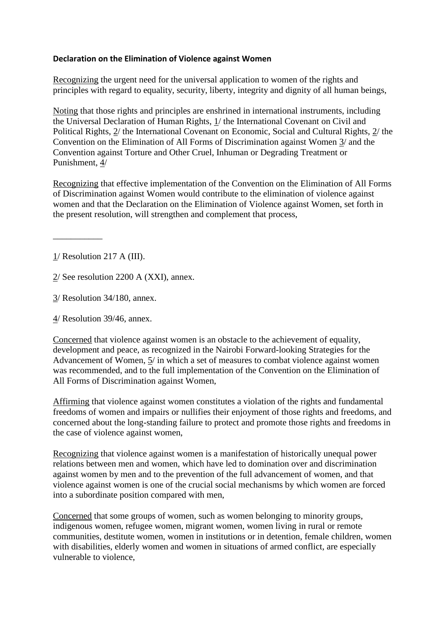## **Declaration on the Elimination of Violence against Women**

Recognizing the urgent need for the universal application to women of the rights and principles with regard to equality, security, liberty, integrity and dignity of all human beings,

Noting that those rights and principles are enshrined in international instruments, including the Universal Declaration of Human Rights, 1/ the International Covenant on Civil and Political Rights, 2/ the International Covenant on Economic, Social and Cultural Rights, 2/ the Convention on the Elimination of All Forms of Discrimination against Women 3/ and the Convention against Torture and Other Cruel, Inhuman or Degrading Treatment or Punishment, 4/

Recognizing that effective implementation of the Convention on the Elimination of All Forms of Discrimination against Women would contribute to the elimination of violence against women and that the Declaration on the Elimination of Violence against Women, set forth in the present resolution, will strengthen and complement that process,

1/ Resolution 217 A (III).

\_\_\_\_\_\_\_\_\_\_\_

2/ See resolution 2200 A (XXI), annex.

3/ Resolution 34/180, annex.

4/ Resolution 39/46, annex.

Concerned that violence against women is an obstacle to the achievement of equality, development and peace, as recognized in the Nairobi Forward-looking Strategies for the Advancement of Women, 5/ in which a set of measures to combat violence against women was recommended, and to the full implementation of the Convention on the Elimination of All Forms of Discrimination against Women,

Affirming that violence against women constitutes a violation of the rights and fundamental freedoms of women and impairs or nullifies their enjoyment of those rights and freedoms, and concerned about the long-standing failure to protect and promote those rights and freedoms in the case of violence against women,

Recognizing that violence against women is a manifestation of historically unequal power relations between men and women, which have led to domination over and discrimination against women by men and to the prevention of the full advancement of women, and that violence against women is one of the crucial social mechanisms by which women are forced into a subordinate position compared with men,

Concerned that some groups of women, such as women belonging to minority groups, indigenous women, refugee women, migrant women, women living in rural or remote communities, destitute women, women in institutions or in detention, female children, women with disabilities, elderly women and women in situations of armed conflict, are especially vulnerable to violence,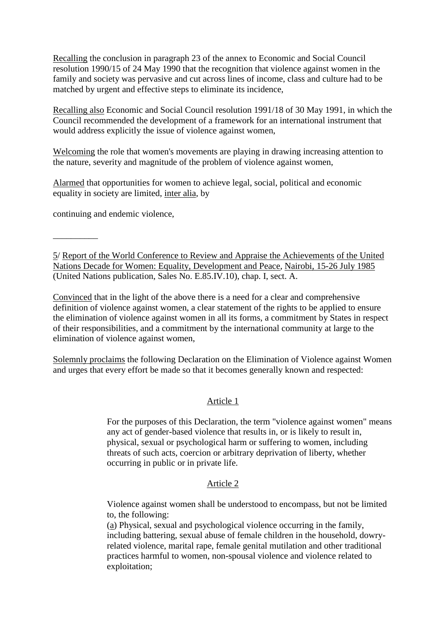Recalling the conclusion in paragraph 23 of the annex to Economic and Social Council resolution 1990/15 of 24 May 1990 that the recognition that violence against women in the family and society was pervasive and cut across lines of income, class and culture had to be matched by urgent and effective steps to eliminate its incidence,

Recalling also Economic and Social Council resolution 1991/18 of 30 May 1991, in which the Council recommended the development of a framework for an international instrument that would address explicitly the issue of violence against women,

Welcoming the role that women's movements are playing in drawing increasing attention to the nature, severity and magnitude of the problem of violence against women,

Alarmed that opportunities for women to achieve legal, social, political and economic equality in society are limited, inter alia, by

continuing and endemic violence,

 $\overline{\phantom{a}}$ 

5/ Report of the World Conference to Review and Appraise the Achievements of the United Nations Decade for Women: Equality, Development and Peace, Nairobi, 15-26 July 1985 (United Nations publication, Sales No. E.85.IV.10), chap. I, sect. A.

Convinced that in the light of the above there is a need for a clear and comprehensive definition of violence against women, a clear statement of the rights to be applied to ensure the elimination of violence against women in all its forms, a commitment by States in respect of their responsibilities, and a commitment by the international community at large to the elimination of violence against women,

Solemnly proclaims the following Declaration on the Elimination of Violence against Women and urges that every effort be made so that it becomes generally known and respected:

## Article 1

For the purposes of this Declaration, the term "violence against women" means any act of gender-based violence that results in, or is likely to result in, physical, sexual or psychological harm or suffering to women, including threats of such acts, coercion or arbitrary deprivation of liberty, whether occurring in public or in private life.

## Article 2

Violence against women shall be understood to encompass, but not be limited to, the following:

(a) Physical, sexual and psychological violence occurring in the family, including battering, sexual abuse of female children in the household, dowryrelated violence, marital rape, female genital mutilation and other traditional practices harmful to women, non-spousal violence and violence related to exploitation;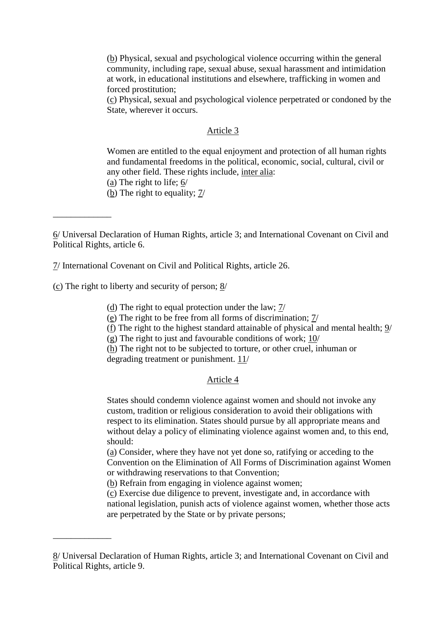(b) Physical, sexual and psychological violence occurring within the general community, including rape, sexual abuse, sexual harassment and intimidation at work, in educational institutions and elsewhere, trafficking in women and forced prostitution;

(c) Physical, sexual and psychological violence perpetrated or condoned by the State, wherever it occurs.

### Article 3

Women are entitled to the equal enjoyment and protection of all human rights and fundamental freedoms in the political, economic, social, cultural, civil or any other field. These rights include, inter alia:

(a) The right to life; 6/

\_\_\_\_\_\_\_\_\_\_\_\_\_

\_\_\_\_\_\_\_\_\_\_\_\_\_

(b) The right to equality; 7/

7/ International Covenant on Civil and Political Rights, article 26.

(c) The right to liberty and security of person; 8/

- (d) The right to equal protection under the law; 7/
- (e) The right to be free from all forms of discrimination; 7/
- (f) The right to the highest standard attainable of physical and mental health; 9/
- (g) The right to just and favourable conditions of work; 10/

(h) The right not to be subjected to torture, or other cruel, inhuman or degrading treatment or punishment. 11/

#### Article 4

States should condemn violence against women and should not invoke any custom, tradition or religious consideration to avoid their obligations with respect to its elimination. States should pursue by all appropriate means and without delay a policy of eliminating violence against women and, to this end, should:

(a) Consider, where they have not yet done so, ratifying or acceding to the Convention on the Elimination of All Forms of Discrimination against Women or withdrawing reservations to that Convention;

(b) Refrain from engaging in violence against women;

(c) Exercise due diligence to prevent, investigate and, in accordance with national legislation, punish acts of violence against women, whether those acts are perpetrated by the State or by private persons;

<sup>6/</sup> Universal Declaration of Human Rights, article 3; and International Covenant on Civil and Political Rights, article 6.

<sup>8/</sup> Universal Declaration of Human Rights, article 3; and International Covenant on Civil and Political Rights, article 9.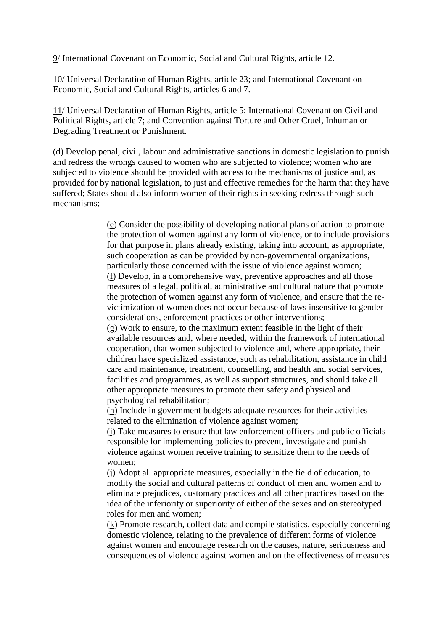9/ International Covenant on Economic, Social and Cultural Rights, article 12.

10/ Universal Declaration of Human Rights, article 23; and International Covenant on Economic, Social and Cultural Rights, articles 6 and 7.

11/ Universal Declaration of Human Rights, article 5; International Covenant on Civil and Political Rights, article 7; and Convention against Torture and Other Cruel, Inhuman or Degrading Treatment or Punishment.

(d) Develop penal, civil, labour and administrative sanctions in domestic legislation to punish and redress the wrongs caused to women who are subjected to violence; women who are subjected to violence should be provided with access to the mechanisms of justice and, as provided for by national legislation, to just and effective remedies for the harm that they have suffered; States should also inform women of their rights in seeking redress through such mechanisms;

> (e) Consider the possibility of developing national plans of action to promote the protection of women against any form of violence, or to include provisions for that purpose in plans already existing, taking into account, as appropriate, such cooperation as can be provided by non-governmental organizations, particularly those concerned with the issue of violence against women; (f) Develop, in a comprehensive way, preventive approaches and all those measures of a legal, political, administrative and cultural nature that promote the protection of women against any form of violence, and ensure that the revictimization of women does not occur because of laws insensitive to gender considerations, enforcement practices or other interventions;

> (g) Work to ensure, to the maximum extent feasible in the light of their available resources and, where needed, within the framework of international cooperation, that women subjected to violence and, where appropriate, their children have specialized assistance, such as rehabilitation, assistance in child care and maintenance, treatment, counselling, and health and social services, facilities and programmes, as well as support structures, and should take all other appropriate measures to promote their safety and physical and psychological rehabilitation;

(h) Include in government budgets adequate resources for their activities related to the elimination of violence against women;

(i) Take measures to ensure that law enforcement officers and public officials responsible for implementing policies to prevent, investigate and punish violence against women receive training to sensitize them to the needs of women;

(j) Adopt all appropriate measures, especially in the field of education, to modify the social and cultural patterns of conduct of men and women and to eliminate prejudices, customary practices and all other practices based on the idea of the inferiority or superiority of either of the sexes and on stereotyped roles for men and women;

(k) Promote research, collect data and compile statistics, especially concerning domestic violence, relating to the prevalence of different forms of violence against women and encourage research on the causes, nature, seriousness and consequences of violence against women and on the effectiveness of measures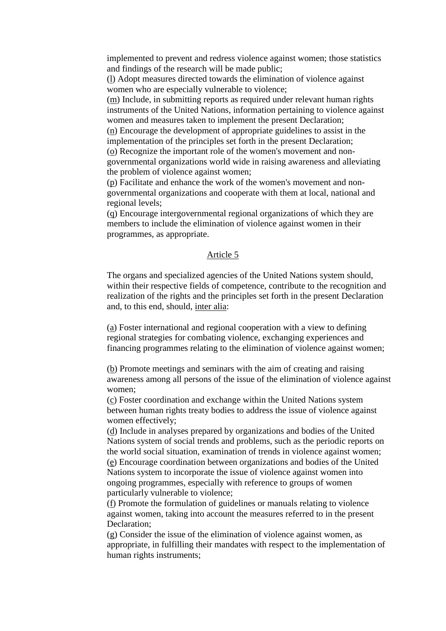implemented to prevent and redress violence against women; those statistics and findings of the research will be made public;

(l) Adopt measures directed towards the elimination of violence against women who are especially vulnerable to violence;

(m) Include, in submitting reports as required under relevant human rights instruments of the United Nations, information pertaining to violence against women and measures taken to implement the present Declaration;

(n) Encourage the development of appropriate guidelines to assist in the implementation of the principles set forth in the present Declaration;

(o) Recognize the important role of the women's movement and nongovernmental organizations world wide in raising awareness and alleviating the problem of violence against women;

(p) Facilitate and enhance the work of the women's movement and nongovernmental organizations and cooperate with them at local, national and regional levels;

(q) Encourage intergovernmental regional organizations of which they are members to include the elimination of violence against women in their programmes, as appropriate.

#### Article 5

The organs and specialized agencies of the United Nations system should, within their respective fields of competence, contribute to the recognition and realization of the rights and the principles set forth in the present Declaration and, to this end, should, inter alia:

(a) Foster international and regional cooperation with a view to defining regional strategies for combating violence, exchanging experiences and financing programmes relating to the elimination of violence against women;

(b) Promote meetings and seminars with the aim of creating and raising awareness among all persons of the issue of the elimination of violence against women;

(c) Foster coordination and exchange within the United Nations system between human rights treaty bodies to address the issue of violence against women effectively;

(d) Include in analyses prepared by organizations and bodies of the United Nations system of social trends and problems, such as the periodic reports on the world social situation, examination of trends in violence against women; (e) Encourage coordination between organizations and bodies of the United Nations system to incorporate the issue of violence against women into ongoing programmes, especially with reference to groups of women particularly vulnerable to violence;

(f) Promote the formulation of guidelines or manuals relating to violence against women, taking into account the measures referred to in the present Declaration;

(g) Consider the issue of the elimination of violence against women, as appropriate, in fulfilling their mandates with respect to the implementation of human rights instruments;